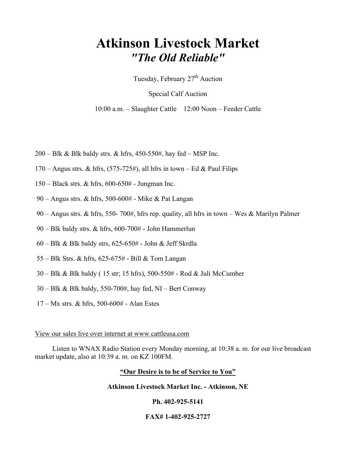# Atkinson Livestock Market "The Old Reliable"

Tuesday, February  $27<sup>th</sup>$  Auction

Special Calf Auction

10:00 a.m. – Slaughter Cattle 12:00 Noon – Feeder Cattle

- $200 B$ lk & Blk baldy strs. & hfrs, 450-550#, hay fed MSP Inc.
- 170 Angus strs. & hfrs,  $(575-725\text{\#})$ , all hfrs in town Ed & Paul Filips
- 150 Black strs. & hfrs, 600-650# Jungman Inc.
- 90 Angus strs. & hfrs, 500-600# Mike & Pat Langan
- 90 Angus strs. & hfrs, 550- 700#, hfrs rep. quality, all hfrs in town Wes & Marilyn Palmer
- 90 Blk baldy strs. & hfrs, 600-700# John Hammerlun
- 60 Blk & Blk baldy strs, 625-650# John & Jeff Skrdla
- 55 Blk Strs. & hfrs, 625-675# Bill & Tom Langan
- 30 Blk & Blk baldy ( 15 str; 15 hfrs), 500-550# Rod & Juli McCumber
- 30 Blk & Blk baldy, 550-700#, hay fed, NI Bert Conway
- 17 Mx strs. & hfrs, 500-600# Alan Estes

#### View our sales live over internet at www.cattleusa.com

 Listen to WNAX Radio Station every Monday morning, at 10:38 a. m. for our live broadcast market update, also at 10:39 a. m. on KZ 100FM.

## "Our Desire is to be of Service to You"

#### Atkinson Livestock Market Inc. - Atkinson, NE

## Ph. 402-925-5141

## FAX# 1-402-925-2727